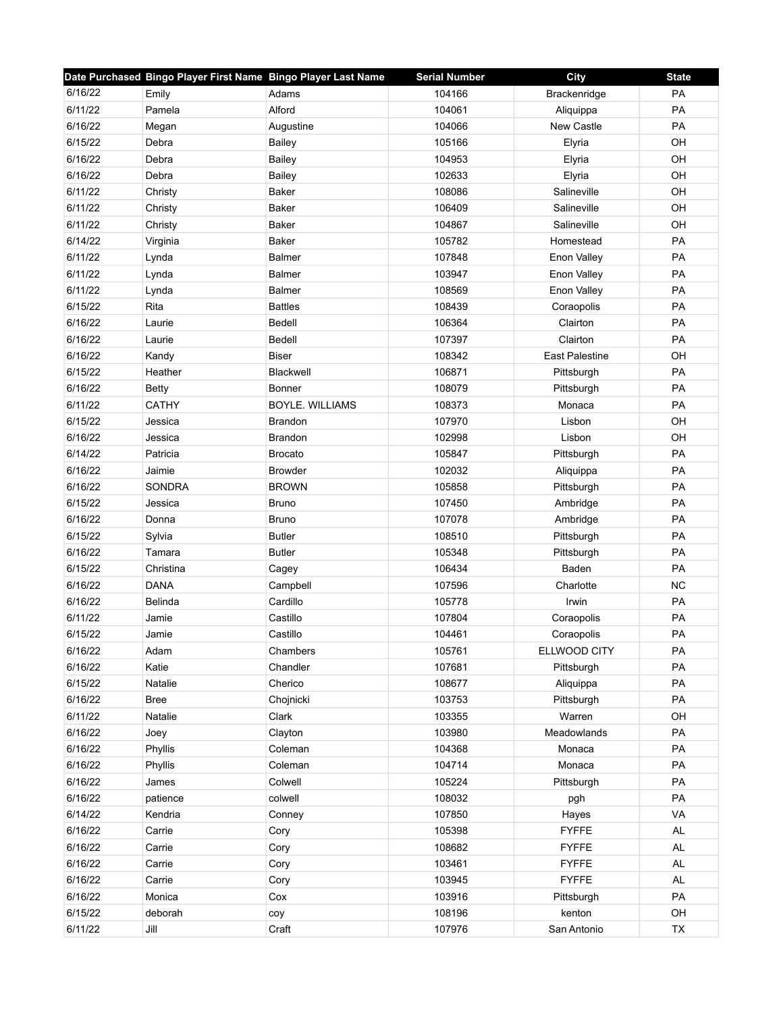| 6/16/22<br>104166<br>PA<br>Adams<br>Brackenridge<br>Emily<br>PA<br>6/11/22<br>Alford<br>104061<br>Pamela<br>Aliquippa<br>6/16/22<br>104066<br>New Castle<br>PA<br>Augustine<br>Megan<br>6/15/22<br>105166<br>OH<br>Elyria<br>Debra<br><b>Bailey</b><br>OH<br>6/16/22<br>Debra<br>Bailey<br>104953<br>Elyria<br>6/16/22<br>102633<br>OH<br>Debra<br>Bailey<br>Elyria<br>6/11/22<br>108086<br>Salineville<br>OH<br><b>Baker</b><br>Christy<br>OH<br>6/11/22<br>Baker<br>106409<br>Salineville<br>Christy<br>6/11/22<br>Salineville<br>OH<br><b>Baker</b><br>104867<br>Christy<br>6/14/22<br>PA<br>Baker<br>105782<br>Homestead<br>Virginia<br>6/11/22<br>PA<br>Lynda<br><b>Balmer</b><br>107848<br>Enon Valley<br>6/11/22<br>103947<br>PA<br><b>Balmer</b><br>Enon Valley<br>Lynda<br>PA<br>6/11/22<br>108569<br>Enon Valley<br>Lynda<br><b>Balmer</b><br>6/15/22<br>108439<br>PA<br>Rita<br><b>Battles</b><br>Coraopolis<br>PA<br>6/16/22<br><b>Bedell</b><br>106364<br>Clairton<br>Laurie<br>6/16/22<br>Clairton<br>PA<br>Bedell<br>107397<br>Laurie<br>6/16/22<br>East Palestine<br>OH<br><b>Biser</b><br>108342<br>Kandy<br>PA<br>6/15/22<br>106871<br>Heather<br>Blackwell<br>Pittsburgh<br>6/16/22<br>108079<br><b>PA</b><br>Betty<br>Bonner<br>Pittsburgh<br>PA<br>6/11/22<br><b>CATHY</b><br><b>BOYLE. WILLIAMS</b><br>108373<br>Monaca<br>6/15/22<br>OH<br>Jessica<br>107970<br>Lisbon<br><b>Brandon</b><br>6/16/22<br>OH<br>102998<br>Lisbon<br>Jessica<br><b>Brandon</b><br>6/14/22<br>PA<br>105847<br>Pittsburgh<br>Patricia<br><b>Brocato</b><br>6/16/22<br>PA<br>102032<br>Jaimie<br><b>Browder</b><br>Aliquippa<br>6/16/22<br>PA<br><b>SONDRA</b><br><b>BROWN</b><br>105858<br>Pittsburgh<br>PA<br>6/15/22<br>107450<br>Ambridge<br>Jessica<br><b>Bruno</b><br>6/16/22<br>PA<br>Donna<br><b>Bruno</b><br>107078<br>Ambridge<br>PA<br>6/15/22<br><b>Butler</b><br>108510<br>Pittsburgh<br>Sylvia<br>PA<br>6/16/22<br>105348<br>Tamara<br><b>Butler</b><br>Pittsburgh<br>6/15/22<br><b>PA</b><br>Christina<br>106434<br>Baden<br>Cagey<br><b>NC</b><br>6/16/22<br><b>DANA</b><br>Campbell<br>107596<br>Charlotte<br>6/16/22<br>Irwin<br>PA<br>Belinda<br>Cardillo<br>105778<br>6/11/22<br>Castillo<br>107804<br>PA<br>Jamie<br>Coraopolis<br>6/15/22<br>PA<br>Jamie<br>Castillo<br>104461<br>Coraopolis<br>PA<br>6/16/22<br>Chambers<br>105761<br>ELLWOOD CITY<br>Adam<br>6/16/22<br>Katie<br>Chandler<br>107681<br>PA<br>Pittsburgh<br>PA<br>6/15/22<br>108677<br>Natalie<br>Cherico<br>Aliquippa<br>6/16/22<br>103753<br>PA<br><b>Bree</b><br>Chojnicki<br>Pittsburgh<br>6/11/22<br>Warren<br>OH<br>Natalie<br>Clark<br>103355<br>6/16/22<br>103980<br>Meadowlands<br>PA<br>Clayton<br>Joey<br>6/16/22<br>104368<br>PA<br>Phyllis<br>Coleman<br>Monaca<br>PA<br>6/16/22<br>104714<br>Monaca<br>Phyllis<br>Coleman<br>6/16/22<br>105224<br>PA<br>James<br>Colwell<br>Pittsburgh<br>PA<br>6/16/22<br>108032<br>colwell<br>patience<br>pgh<br>6/14/22<br>107850<br>VA<br>Kendria<br>Hayes<br>Conney<br>6/16/22<br>105398<br><b>FYFFE</b><br>AL<br>Carrie<br>Cory<br>6/16/22<br>108682<br><b>FYFFE</b><br>Carrie<br>Cory<br><b>AL</b><br>6/16/22<br>103461<br><b>FYFFE</b><br>AL<br>Carrie<br>Cory<br>6/16/22<br>103945<br><b>FYFFE</b><br>AL<br>Carrie<br>Cory<br>PA<br>6/16/22<br>103916<br>Monica<br>Cox<br>Pittsburgh<br>6/15/22<br>108196<br>kenton<br>OH<br>deborah<br>coy |         | Date Purchased Bingo Player First Name Bingo Player Last Name |       | <b>Serial Number</b> | <b>City</b> | <b>State</b> |
|-------------------------------------------------------------------------------------------------------------------------------------------------------------------------------------------------------------------------------------------------------------------------------------------------------------------------------------------------------------------------------------------------------------------------------------------------------------------------------------------------------------------------------------------------------------------------------------------------------------------------------------------------------------------------------------------------------------------------------------------------------------------------------------------------------------------------------------------------------------------------------------------------------------------------------------------------------------------------------------------------------------------------------------------------------------------------------------------------------------------------------------------------------------------------------------------------------------------------------------------------------------------------------------------------------------------------------------------------------------------------------------------------------------------------------------------------------------------------------------------------------------------------------------------------------------------------------------------------------------------------------------------------------------------------------------------------------------------------------------------------------------------------------------------------------------------------------------------------------------------------------------------------------------------------------------------------------------------------------------------------------------------------------------------------------------------------------------------------------------------------------------------------------------------------------------------------------------------------------------------------------------------------------------------------------------------------------------------------------------------------------------------------------------------------------------------------------------------------------------------------------------------------------------------------------------------------------------------------------------------------------------------------------------------------------------------------------------------------------------------------------------------------------------------------------------------------------------------------------------------------------------------------------------------------------------------------------------------------------------------------------------------------------------------------------------------------------------------------------------------------------------------------------------------------------------------------------------------------------------------------------------------------------------------------------------------------------------------------------------------------------------------|---------|---------------------------------------------------------------|-------|----------------------|-------------|--------------|
|                                                                                                                                                                                                                                                                                                                                                                                                                                                                                                                                                                                                                                                                                                                                                                                                                                                                                                                                                                                                                                                                                                                                                                                                                                                                                                                                                                                                                                                                                                                                                                                                                                                                                                                                                                                                                                                                                                                                                                                                                                                                                                                                                                                                                                                                                                                                                                                                                                                                                                                                                                                                                                                                                                                                                                                                                                                                                                                                                                                                                                                                                                                                                                                                                                                                                                                                                                                           |         |                                                               |       |                      |             |              |
|                                                                                                                                                                                                                                                                                                                                                                                                                                                                                                                                                                                                                                                                                                                                                                                                                                                                                                                                                                                                                                                                                                                                                                                                                                                                                                                                                                                                                                                                                                                                                                                                                                                                                                                                                                                                                                                                                                                                                                                                                                                                                                                                                                                                                                                                                                                                                                                                                                                                                                                                                                                                                                                                                                                                                                                                                                                                                                                                                                                                                                                                                                                                                                                                                                                                                                                                                                                           |         |                                                               |       |                      |             |              |
|                                                                                                                                                                                                                                                                                                                                                                                                                                                                                                                                                                                                                                                                                                                                                                                                                                                                                                                                                                                                                                                                                                                                                                                                                                                                                                                                                                                                                                                                                                                                                                                                                                                                                                                                                                                                                                                                                                                                                                                                                                                                                                                                                                                                                                                                                                                                                                                                                                                                                                                                                                                                                                                                                                                                                                                                                                                                                                                                                                                                                                                                                                                                                                                                                                                                                                                                                                                           |         |                                                               |       |                      |             |              |
|                                                                                                                                                                                                                                                                                                                                                                                                                                                                                                                                                                                                                                                                                                                                                                                                                                                                                                                                                                                                                                                                                                                                                                                                                                                                                                                                                                                                                                                                                                                                                                                                                                                                                                                                                                                                                                                                                                                                                                                                                                                                                                                                                                                                                                                                                                                                                                                                                                                                                                                                                                                                                                                                                                                                                                                                                                                                                                                                                                                                                                                                                                                                                                                                                                                                                                                                                                                           |         |                                                               |       |                      |             |              |
|                                                                                                                                                                                                                                                                                                                                                                                                                                                                                                                                                                                                                                                                                                                                                                                                                                                                                                                                                                                                                                                                                                                                                                                                                                                                                                                                                                                                                                                                                                                                                                                                                                                                                                                                                                                                                                                                                                                                                                                                                                                                                                                                                                                                                                                                                                                                                                                                                                                                                                                                                                                                                                                                                                                                                                                                                                                                                                                                                                                                                                                                                                                                                                                                                                                                                                                                                                                           |         |                                                               |       |                      |             |              |
|                                                                                                                                                                                                                                                                                                                                                                                                                                                                                                                                                                                                                                                                                                                                                                                                                                                                                                                                                                                                                                                                                                                                                                                                                                                                                                                                                                                                                                                                                                                                                                                                                                                                                                                                                                                                                                                                                                                                                                                                                                                                                                                                                                                                                                                                                                                                                                                                                                                                                                                                                                                                                                                                                                                                                                                                                                                                                                                                                                                                                                                                                                                                                                                                                                                                                                                                                                                           |         |                                                               |       |                      |             |              |
|                                                                                                                                                                                                                                                                                                                                                                                                                                                                                                                                                                                                                                                                                                                                                                                                                                                                                                                                                                                                                                                                                                                                                                                                                                                                                                                                                                                                                                                                                                                                                                                                                                                                                                                                                                                                                                                                                                                                                                                                                                                                                                                                                                                                                                                                                                                                                                                                                                                                                                                                                                                                                                                                                                                                                                                                                                                                                                                                                                                                                                                                                                                                                                                                                                                                                                                                                                                           |         |                                                               |       |                      |             |              |
|                                                                                                                                                                                                                                                                                                                                                                                                                                                                                                                                                                                                                                                                                                                                                                                                                                                                                                                                                                                                                                                                                                                                                                                                                                                                                                                                                                                                                                                                                                                                                                                                                                                                                                                                                                                                                                                                                                                                                                                                                                                                                                                                                                                                                                                                                                                                                                                                                                                                                                                                                                                                                                                                                                                                                                                                                                                                                                                                                                                                                                                                                                                                                                                                                                                                                                                                                                                           |         |                                                               |       |                      |             |              |
|                                                                                                                                                                                                                                                                                                                                                                                                                                                                                                                                                                                                                                                                                                                                                                                                                                                                                                                                                                                                                                                                                                                                                                                                                                                                                                                                                                                                                                                                                                                                                                                                                                                                                                                                                                                                                                                                                                                                                                                                                                                                                                                                                                                                                                                                                                                                                                                                                                                                                                                                                                                                                                                                                                                                                                                                                                                                                                                                                                                                                                                                                                                                                                                                                                                                                                                                                                                           |         |                                                               |       |                      |             |              |
|                                                                                                                                                                                                                                                                                                                                                                                                                                                                                                                                                                                                                                                                                                                                                                                                                                                                                                                                                                                                                                                                                                                                                                                                                                                                                                                                                                                                                                                                                                                                                                                                                                                                                                                                                                                                                                                                                                                                                                                                                                                                                                                                                                                                                                                                                                                                                                                                                                                                                                                                                                                                                                                                                                                                                                                                                                                                                                                                                                                                                                                                                                                                                                                                                                                                                                                                                                                           |         |                                                               |       |                      |             |              |
|                                                                                                                                                                                                                                                                                                                                                                                                                                                                                                                                                                                                                                                                                                                                                                                                                                                                                                                                                                                                                                                                                                                                                                                                                                                                                                                                                                                                                                                                                                                                                                                                                                                                                                                                                                                                                                                                                                                                                                                                                                                                                                                                                                                                                                                                                                                                                                                                                                                                                                                                                                                                                                                                                                                                                                                                                                                                                                                                                                                                                                                                                                                                                                                                                                                                                                                                                                                           |         |                                                               |       |                      |             |              |
|                                                                                                                                                                                                                                                                                                                                                                                                                                                                                                                                                                                                                                                                                                                                                                                                                                                                                                                                                                                                                                                                                                                                                                                                                                                                                                                                                                                                                                                                                                                                                                                                                                                                                                                                                                                                                                                                                                                                                                                                                                                                                                                                                                                                                                                                                                                                                                                                                                                                                                                                                                                                                                                                                                                                                                                                                                                                                                                                                                                                                                                                                                                                                                                                                                                                                                                                                                                           |         |                                                               |       |                      |             |              |
|                                                                                                                                                                                                                                                                                                                                                                                                                                                                                                                                                                                                                                                                                                                                                                                                                                                                                                                                                                                                                                                                                                                                                                                                                                                                                                                                                                                                                                                                                                                                                                                                                                                                                                                                                                                                                                                                                                                                                                                                                                                                                                                                                                                                                                                                                                                                                                                                                                                                                                                                                                                                                                                                                                                                                                                                                                                                                                                                                                                                                                                                                                                                                                                                                                                                                                                                                                                           |         |                                                               |       |                      |             |              |
|                                                                                                                                                                                                                                                                                                                                                                                                                                                                                                                                                                                                                                                                                                                                                                                                                                                                                                                                                                                                                                                                                                                                                                                                                                                                                                                                                                                                                                                                                                                                                                                                                                                                                                                                                                                                                                                                                                                                                                                                                                                                                                                                                                                                                                                                                                                                                                                                                                                                                                                                                                                                                                                                                                                                                                                                                                                                                                                                                                                                                                                                                                                                                                                                                                                                                                                                                                                           |         |                                                               |       |                      |             |              |
|                                                                                                                                                                                                                                                                                                                                                                                                                                                                                                                                                                                                                                                                                                                                                                                                                                                                                                                                                                                                                                                                                                                                                                                                                                                                                                                                                                                                                                                                                                                                                                                                                                                                                                                                                                                                                                                                                                                                                                                                                                                                                                                                                                                                                                                                                                                                                                                                                                                                                                                                                                                                                                                                                                                                                                                                                                                                                                                                                                                                                                                                                                                                                                                                                                                                                                                                                                                           |         |                                                               |       |                      |             |              |
|                                                                                                                                                                                                                                                                                                                                                                                                                                                                                                                                                                                                                                                                                                                                                                                                                                                                                                                                                                                                                                                                                                                                                                                                                                                                                                                                                                                                                                                                                                                                                                                                                                                                                                                                                                                                                                                                                                                                                                                                                                                                                                                                                                                                                                                                                                                                                                                                                                                                                                                                                                                                                                                                                                                                                                                                                                                                                                                                                                                                                                                                                                                                                                                                                                                                                                                                                                                           |         |                                                               |       |                      |             |              |
|                                                                                                                                                                                                                                                                                                                                                                                                                                                                                                                                                                                                                                                                                                                                                                                                                                                                                                                                                                                                                                                                                                                                                                                                                                                                                                                                                                                                                                                                                                                                                                                                                                                                                                                                                                                                                                                                                                                                                                                                                                                                                                                                                                                                                                                                                                                                                                                                                                                                                                                                                                                                                                                                                                                                                                                                                                                                                                                                                                                                                                                                                                                                                                                                                                                                                                                                                                                           |         |                                                               |       |                      |             |              |
|                                                                                                                                                                                                                                                                                                                                                                                                                                                                                                                                                                                                                                                                                                                                                                                                                                                                                                                                                                                                                                                                                                                                                                                                                                                                                                                                                                                                                                                                                                                                                                                                                                                                                                                                                                                                                                                                                                                                                                                                                                                                                                                                                                                                                                                                                                                                                                                                                                                                                                                                                                                                                                                                                                                                                                                                                                                                                                                                                                                                                                                                                                                                                                                                                                                                                                                                                                                           |         |                                                               |       |                      |             |              |
|                                                                                                                                                                                                                                                                                                                                                                                                                                                                                                                                                                                                                                                                                                                                                                                                                                                                                                                                                                                                                                                                                                                                                                                                                                                                                                                                                                                                                                                                                                                                                                                                                                                                                                                                                                                                                                                                                                                                                                                                                                                                                                                                                                                                                                                                                                                                                                                                                                                                                                                                                                                                                                                                                                                                                                                                                                                                                                                                                                                                                                                                                                                                                                                                                                                                                                                                                                                           |         |                                                               |       |                      |             |              |
|                                                                                                                                                                                                                                                                                                                                                                                                                                                                                                                                                                                                                                                                                                                                                                                                                                                                                                                                                                                                                                                                                                                                                                                                                                                                                                                                                                                                                                                                                                                                                                                                                                                                                                                                                                                                                                                                                                                                                                                                                                                                                                                                                                                                                                                                                                                                                                                                                                                                                                                                                                                                                                                                                                                                                                                                                                                                                                                                                                                                                                                                                                                                                                                                                                                                                                                                                                                           |         |                                                               |       |                      |             |              |
|                                                                                                                                                                                                                                                                                                                                                                                                                                                                                                                                                                                                                                                                                                                                                                                                                                                                                                                                                                                                                                                                                                                                                                                                                                                                                                                                                                                                                                                                                                                                                                                                                                                                                                                                                                                                                                                                                                                                                                                                                                                                                                                                                                                                                                                                                                                                                                                                                                                                                                                                                                                                                                                                                                                                                                                                                                                                                                                                                                                                                                                                                                                                                                                                                                                                                                                                                                                           |         |                                                               |       |                      |             |              |
|                                                                                                                                                                                                                                                                                                                                                                                                                                                                                                                                                                                                                                                                                                                                                                                                                                                                                                                                                                                                                                                                                                                                                                                                                                                                                                                                                                                                                                                                                                                                                                                                                                                                                                                                                                                                                                                                                                                                                                                                                                                                                                                                                                                                                                                                                                                                                                                                                                                                                                                                                                                                                                                                                                                                                                                                                                                                                                                                                                                                                                                                                                                                                                                                                                                                                                                                                                                           |         |                                                               |       |                      |             |              |
|                                                                                                                                                                                                                                                                                                                                                                                                                                                                                                                                                                                                                                                                                                                                                                                                                                                                                                                                                                                                                                                                                                                                                                                                                                                                                                                                                                                                                                                                                                                                                                                                                                                                                                                                                                                                                                                                                                                                                                                                                                                                                                                                                                                                                                                                                                                                                                                                                                                                                                                                                                                                                                                                                                                                                                                                                                                                                                                                                                                                                                                                                                                                                                                                                                                                                                                                                                                           |         |                                                               |       |                      |             |              |
|                                                                                                                                                                                                                                                                                                                                                                                                                                                                                                                                                                                                                                                                                                                                                                                                                                                                                                                                                                                                                                                                                                                                                                                                                                                                                                                                                                                                                                                                                                                                                                                                                                                                                                                                                                                                                                                                                                                                                                                                                                                                                                                                                                                                                                                                                                                                                                                                                                                                                                                                                                                                                                                                                                                                                                                                                                                                                                                                                                                                                                                                                                                                                                                                                                                                                                                                                                                           |         |                                                               |       |                      |             |              |
|                                                                                                                                                                                                                                                                                                                                                                                                                                                                                                                                                                                                                                                                                                                                                                                                                                                                                                                                                                                                                                                                                                                                                                                                                                                                                                                                                                                                                                                                                                                                                                                                                                                                                                                                                                                                                                                                                                                                                                                                                                                                                                                                                                                                                                                                                                                                                                                                                                                                                                                                                                                                                                                                                                                                                                                                                                                                                                                                                                                                                                                                                                                                                                                                                                                                                                                                                                                           |         |                                                               |       |                      |             |              |
|                                                                                                                                                                                                                                                                                                                                                                                                                                                                                                                                                                                                                                                                                                                                                                                                                                                                                                                                                                                                                                                                                                                                                                                                                                                                                                                                                                                                                                                                                                                                                                                                                                                                                                                                                                                                                                                                                                                                                                                                                                                                                                                                                                                                                                                                                                                                                                                                                                                                                                                                                                                                                                                                                                                                                                                                                                                                                                                                                                                                                                                                                                                                                                                                                                                                                                                                                                                           |         |                                                               |       |                      |             |              |
|                                                                                                                                                                                                                                                                                                                                                                                                                                                                                                                                                                                                                                                                                                                                                                                                                                                                                                                                                                                                                                                                                                                                                                                                                                                                                                                                                                                                                                                                                                                                                                                                                                                                                                                                                                                                                                                                                                                                                                                                                                                                                                                                                                                                                                                                                                                                                                                                                                                                                                                                                                                                                                                                                                                                                                                                                                                                                                                                                                                                                                                                                                                                                                                                                                                                                                                                                                                           |         |                                                               |       |                      |             |              |
|                                                                                                                                                                                                                                                                                                                                                                                                                                                                                                                                                                                                                                                                                                                                                                                                                                                                                                                                                                                                                                                                                                                                                                                                                                                                                                                                                                                                                                                                                                                                                                                                                                                                                                                                                                                                                                                                                                                                                                                                                                                                                                                                                                                                                                                                                                                                                                                                                                                                                                                                                                                                                                                                                                                                                                                                                                                                                                                                                                                                                                                                                                                                                                                                                                                                                                                                                                                           |         |                                                               |       |                      |             |              |
|                                                                                                                                                                                                                                                                                                                                                                                                                                                                                                                                                                                                                                                                                                                                                                                                                                                                                                                                                                                                                                                                                                                                                                                                                                                                                                                                                                                                                                                                                                                                                                                                                                                                                                                                                                                                                                                                                                                                                                                                                                                                                                                                                                                                                                                                                                                                                                                                                                                                                                                                                                                                                                                                                                                                                                                                                                                                                                                                                                                                                                                                                                                                                                                                                                                                                                                                                                                           |         |                                                               |       |                      |             |              |
|                                                                                                                                                                                                                                                                                                                                                                                                                                                                                                                                                                                                                                                                                                                                                                                                                                                                                                                                                                                                                                                                                                                                                                                                                                                                                                                                                                                                                                                                                                                                                                                                                                                                                                                                                                                                                                                                                                                                                                                                                                                                                                                                                                                                                                                                                                                                                                                                                                                                                                                                                                                                                                                                                                                                                                                                                                                                                                                                                                                                                                                                                                                                                                                                                                                                                                                                                                                           |         |                                                               |       |                      |             |              |
|                                                                                                                                                                                                                                                                                                                                                                                                                                                                                                                                                                                                                                                                                                                                                                                                                                                                                                                                                                                                                                                                                                                                                                                                                                                                                                                                                                                                                                                                                                                                                                                                                                                                                                                                                                                                                                                                                                                                                                                                                                                                                                                                                                                                                                                                                                                                                                                                                                                                                                                                                                                                                                                                                                                                                                                                                                                                                                                                                                                                                                                                                                                                                                                                                                                                                                                                                                                           |         |                                                               |       |                      |             |              |
|                                                                                                                                                                                                                                                                                                                                                                                                                                                                                                                                                                                                                                                                                                                                                                                                                                                                                                                                                                                                                                                                                                                                                                                                                                                                                                                                                                                                                                                                                                                                                                                                                                                                                                                                                                                                                                                                                                                                                                                                                                                                                                                                                                                                                                                                                                                                                                                                                                                                                                                                                                                                                                                                                                                                                                                                                                                                                                                                                                                                                                                                                                                                                                                                                                                                                                                                                                                           |         |                                                               |       |                      |             |              |
|                                                                                                                                                                                                                                                                                                                                                                                                                                                                                                                                                                                                                                                                                                                                                                                                                                                                                                                                                                                                                                                                                                                                                                                                                                                                                                                                                                                                                                                                                                                                                                                                                                                                                                                                                                                                                                                                                                                                                                                                                                                                                                                                                                                                                                                                                                                                                                                                                                                                                                                                                                                                                                                                                                                                                                                                                                                                                                                                                                                                                                                                                                                                                                                                                                                                                                                                                                                           |         |                                                               |       |                      |             |              |
|                                                                                                                                                                                                                                                                                                                                                                                                                                                                                                                                                                                                                                                                                                                                                                                                                                                                                                                                                                                                                                                                                                                                                                                                                                                                                                                                                                                                                                                                                                                                                                                                                                                                                                                                                                                                                                                                                                                                                                                                                                                                                                                                                                                                                                                                                                                                                                                                                                                                                                                                                                                                                                                                                                                                                                                                                                                                                                                                                                                                                                                                                                                                                                                                                                                                                                                                                                                           |         |                                                               |       |                      |             |              |
|                                                                                                                                                                                                                                                                                                                                                                                                                                                                                                                                                                                                                                                                                                                                                                                                                                                                                                                                                                                                                                                                                                                                                                                                                                                                                                                                                                                                                                                                                                                                                                                                                                                                                                                                                                                                                                                                                                                                                                                                                                                                                                                                                                                                                                                                                                                                                                                                                                                                                                                                                                                                                                                                                                                                                                                                                                                                                                                                                                                                                                                                                                                                                                                                                                                                                                                                                                                           |         |                                                               |       |                      |             |              |
|                                                                                                                                                                                                                                                                                                                                                                                                                                                                                                                                                                                                                                                                                                                                                                                                                                                                                                                                                                                                                                                                                                                                                                                                                                                                                                                                                                                                                                                                                                                                                                                                                                                                                                                                                                                                                                                                                                                                                                                                                                                                                                                                                                                                                                                                                                                                                                                                                                                                                                                                                                                                                                                                                                                                                                                                                                                                                                                                                                                                                                                                                                                                                                                                                                                                                                                                                                                           |         |                                                               |       |                      |             |              |
|                                                                                                                                                                                                                                                                                                                                                                                                                                                                                                                                                                                                                                                                                                                                                                                                                                                                                                                                                                                                                                                                                                                                                                                                                                                                                                                                                                                                                                                                                                                                                                                                                                                                                                                                                                                                                                                                                                                                                                                                                                                                                                                                                                                                                                                                                                                                                                                                                                                                                                                                                                                                                                                                                                                                                                                                                                                                                                                                                                                                                                                                                                                                                                                                                                                                                                                                                                                           |         |                                                               |       |                      |             |              |
|                                                                                                                                                                                                                                                                                                                                                                                                                                                                                                                                                                                                                                                                                                                                                                                                                                                                                                                                                                                                                                                                                                                                                                                                                                                                                                                                                                                                                                                                                                                                                                                                                                                                                                                                                                                                                                                                                                                                                                                                                                                                                                                                                                                                                                                                                                                                                                                                                                                                                                                                                                                                                                                                                                                                                                                                                                                                                                                                                                                                                                                                                                                                                                                                                                                                                                                                                                                           |         |                                                               |       |                      |             |              |
|                                                                                                                                                                                                                                                                                                                                                                                                                                                                                                                                                                                                                                                                                                                                                                                                                                                                                                                                                                                                                                                                                                                                                                                                                                                                                                                                                                                                                                                                                                                                                                                                                                                                                                                                                                                                                                                                                                                                                                                                                                                                                                                                                                                                                                                                                                                                                                                                                                                                                                                                                                                                                                                                                                                                                                                                                                                                                                                                                                                                                                                                                                                                                                                                                                                                                                                                                                                           |         |                                                               |       |                      |             |              |
|                                                                                                                                                                                                                                                                                                                                                                                                                                                                                                                                                                                                                                                                                                                                                                                                                                                                                                                                                                                                                                                                                                                                                                                                                                                                                                                                                                                                                                                                                                                                                                                                                                                                                                                                                                                                                                                                                                                                                                                                                                                                                                                                                                                                                                                                                                                                                                                                                                                                                                                                                                                                                                                                                                                                                                                                                                                                                                                                                                                                                                                                                                                                                                                                                                                                                                                                                                                           |         |                                                               |       |                      |             |              |
|                                                                                                                                                                                                                                                                                                                                                                                                                                                                                                                                                                                                                                                                                                                                                                                                                                                                                                                                                                                                                                                                                                                                                                                                                                                                                                                                                                                                                                                                                                                                                                                                                                                                                                                                                                                                                                                                                                                                                                                                                                                                                                                                                                                                                                                                                                                                                                                                                                                                                                                                                                                                                                                                                                                                                                                                                                                                                                                                                                                                                                                                                                                                                                                                                                                                                                                                                                                           |         |                                                               |       |                      |             |              |
|                                                                                                                                                                                                                                                                                                                                                                                                                                                                                                                                                                                                                                                                                                                                                                                                                                                                                                                                                                                                                                                                                                                                                                                                                                                                                                                                                                                                                                                                                                                                                                                                                                                                                                                                                                                                                                                                                                                                                                                                                                                                                                                                                                                                                                                                                                                                                                                                                                                                                                                                                                                                                                                                                                                                                                                                                                                                                                                                                                                                                                                                                                                                                                                                                                                                                                                                                                                           |         |                                                               |       |                      |             |              |
|                                                                                                                                                                                                                                                                                                                                                                                                                                                                                                                                                                                                                                                                                                                                                                                                                                                                                                                                                                                                                                                                                                                                                                                                                                                                                                                                                                                                                                                                                                                                                                                                                                                                                                                                                                                                                                                                                                                                                                                                                                                                                                                                                                                                                                                                                                                                                                                                                                                                                                                                                                                                                                                                                                                                                                                                                                                                                                                                                                                                                                                                                                                                                                                                                                                                                                                                                                                           |         |                                                               |       |                      |             |              |
|                                                                                                                                                                                                                                                                                                                                                                                                                                                                                                                                                                                                                                                                                                                                                                                                                                                                                                                                                                                                                                                                                                                                                                                                                                                                                                                                                                                                                                                                                                                                                                                                                                                                                                                                                                                                                                                                                                                                                                                                                                                                                                                                                                                                                                                                                                                                                                                                                                                                                                                                                                                                                                                                                                                                                                                                                                                                                                                                                                                                                                                                                                                                                                                                                                                                                                                                                                                           |         |                                                               |       |                      |             |              |
|                                                                                                                                                                                                                                                                                                                                                                                                                                                                                                                                                                                                                                                                                                                                                                                                                                                                                                                                                                                                                                                                                                                                                                                                                                                                                                                                                                                                                                                                                                                                                                                                                                                                                                                                                                                                                                                                                                                                                                                                                                                                                                                                                                                                                                                                                                                                                                                                                                                                                                                                                                                                                                                                                                                                                                                                                                                                                                                                                                                                                                                                                                                                                                                                                                                                                                                                                                                           |         |                                                               |       |                      |             |              |
|                                                                                                                                                                                                                                                                                                                                                                                                                                                                                                                                                                                                                                                                                                                                                                                                                                                                                                                                                                                                                                                                                                                                                                                                                                                                                                                                                                                                                                                                                                                                                                                                                                                                                                                                                                                                                                                                                                                                                                                                                                                                                                                                                                                                                                                                                                                                                                                                                                                                                                                                                                                                                                                                                                                                                                                                                                                                                                                                                                                                                                                                                                                                                                                                                                                                                                                                                                                           |         |                                                               |       |                      |             |              |
|                                                                                                                                                                                                                                                                                                                                                                                                                                                                                                                                                                                                                                                                                                                                                                                                                                                                                                                                                                                                                                                                                                                                                                                                                                                                                                                                                                                                                                                                                                                                                                                                                                                                                                                                                                                                                                                                                                                                                                                                                                                                                                                                                                                                                                                                                                                                                                                                                                                                                                                                                                                                                                                                                                                                                                                                                                                                                                                                                                                                                                                                                                                                                                                                                                                                                                                                                                                           |         |                                                               |       |                      |             |              |
|                                                                                                                                                                                                                                                                                                                                                                                                                                                                                                                                                                                                                                                                                                                                                                                                                                                                                                                                                                                                                                                                                                                                                                                                                                                                                                                                                                                                                                                                                                                                                                                                                                                                                                                                                                                                                                                                                                                                                                                                                                                                                                                                                                                                                                                                                                                                                                                                                                                                                                                                                                                                                                                                                                                                                                                                                                                                                                                                                                                                                                                                                                                                                                                                                                                                                                                                                                                           |         |                                                               |       |                      |             |              |
|                                                                                                                                                                                                                                                                                                                                                                                                                                                                                                                                                                                                                                                                                                                                                                                                                                                                                                                                                                                                                                                                                                                                                                                                                                                                                                                                                                                                                                                                                                                                                                                                                                                                                                                                                                                                                                                                                                                                                                                                                                                                                                                                                                                                                                                                                                                                                                                                                                                                                                                                                                                                                                                                                                                                                                                                                                                                                                                                                                                                                                                                                                                                                                                                                                                                                                                                                                                           |         |                                                               |       |                      |             |              |
|                                                                                                                                                                                                                                                                                                                                                                                                                                                                                                                                                                                                                                                                                                                                                                                                                                                                                                                                                                                                                                                                                                                                                                                                                                                                                                                                                                                                                                                                                                                                                                                                                                                                                                                                                                                                                                                                                                                                                                                                                                                                                                                                                                                                                                                                                                                                                                                                                                                                                                                                                                                                                                                                                                                                                                                                                                                                                                                                                                                                                                                                                                                                                                                                                                                                                                                                                                                           |         |                                                               |       |                      |             |              |
|                                                                                                                                                                                                                                                                                                                                                                                                                                                                                                                                                                                                                                                                                                                                                                                                                                                                                                                                                                                                                                                                                                                                                                                                                                                                                                                                                                                                                                                                                                                                                                                                                                                                                                                                                                                                                                                                                                                                                                                                                                                                                                                                                                                                                                                                                                                                                                                                                                                                                                                                                                                                                                                                                                                                                                                                                                                                                                                                                                                                                                                                                                                                                                                                                                                                                                                                                                                           |         |                                                               |       |                      |             |              |
|                                                                                                                                                                                                                                                                                                                                                                                                                                                                                                                                                                                                                                                                                                                                                                                                                                                                                                                                                                                                                                                                                                                                                                                                                                                                                                                                                                                                                                                                                                                                                                                                                                                                                                                                                                                                                                                                                                                                                                                                                                                                                                                                                                                                                                                                                                                                                                                                                                                                                                                                                                                                                                                                                                                                                                                                                                                                                                                                                                                                                                                                                                                                                                                                                                                                                                                                                                                           | 6/11/22 | Jill                                                          | Craft | 107976               | San Antonio | TX           |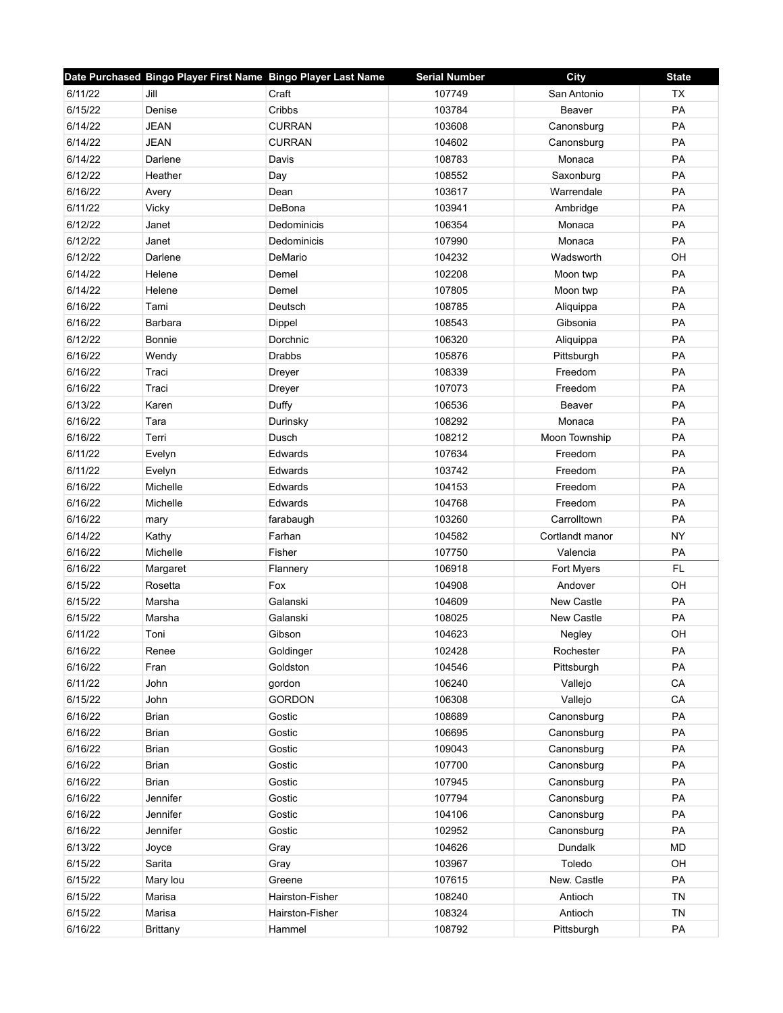|                         |                 | Date Purchased Bingo Player First Name Bingo Player Last Name | <b>Serial Number</b> | City              | <b>State</b> |
|-------------------------|-----------------|---------------------------------------------------------------|----------------------|-------------------|--------------|
| 6/11/22<br>Jill         |                 | Craft                                                         | 107749               | San Antonio       | <b>TX</b>    |
| 6/15/22                 | Denise          | Cribbs                                                        | 103784               | Beaver            | PA           |
| 6/14/22<br><b>JEAN</b>  |                 | <b>CURRAN</b>                                                 | 103608               | Canonsburg        | PA           |
| 6/14/22<br><b>JEAN</b>  |                 | <b>CURRAN</b>                                                 | 104602               | Canonsburg        | PA           |
| 6/14/22                 | Darlene         | Davis                                                         | 108783               | Monaca            | PA           |
| 6/12/22                 | Heather         | Day                                                           | 108552               | Saxonburg         | PA           |
| 6/16/22<br>Avery        |                 | Dean                                                          | 103617               | Warrendale        | PA           |
| 6/11/22<br>Vicky        |                 | DeBona                                                        | 103941               | Ambridge          | PA           |
| 6/12/22<br>Janet        |                 | Dedominicis                                                   | 106354               | Monaca            | PA           |
| 6/12/22<br>Janet        |                 | Dedominicis                                                   | 107990               | Monaca            | PA           |
| 6/12/22                 | Darlene         | DeMario                                                       | 104232               | Wadsworth         | OH           |
| 6/14/22                 | Helene          | Demel                                                         | 102208               | Moon twp          | PA           |
| 6/14/22                 | Helene          | Demel                                                         | 107805               | Moon twp          | PA           |
| 6/16/22<br>Tami         |                 | Deutsch                                                       | 108785               | Aliquippa         | PA           |
| 6/16/22                 | Barbara         | Dippel                                                        | 108543               | Gibsonia          | PA           |
| 6/12/22                 | Bonnie          | Dorchnic                                                      | 106320               | Aliquippa         | <b>PA</b>    |
| 6/16/22                 | Wendy           | <b>Drabbs</b>                                                 | 105876               | Pittsburgh        | PA           |
| 6/16/22<br>Traci        |                 | Dreyer                                                        | 108339               | Freedom           | PA           |
| 6/16/22<br>Traci        |                 | Dreyer                                                        | 107073               | Freedom           | <b>PA</b>    |
| 6/13/22<br>Karen        |                 | Duffy                                                         | 106536               | Beaver            | PA           |
| 6/16/22<br>Tara         |                 | Durinsky                                                      | 108292               | Monaca            | PA           |
| 6/16/22<br>Terri        |                 | Dusch                                                         | 108212               | Moon Township     | PA           |
| 6/11/22                 | Evelyn          | Edwards                                                       | 107634               | Freedom           | PA           |
| 6/11/22                 | Evelyn          | Edwards                                                       | 103742               | Freedom           | PA           |
| 6/16/22                 | Michelle        | Edwards                                                       | 104153               | Freedom           | PA           |
| 6/16/22                 | Michelle        | Edwards                                                       | 104768               | Freedom           | PA           |
| 6/16/22<br>mary         |                 | farabaugh                                                     | 103260               | Carrolltown       | PA           |
| 6/14/22<br>Kathy        |                 | Farhan                                                        | 104582               | Cortlandt manor   | <b>NY</b>    |
| 6/16/22                 | Michelle        | Fisher                                                        | 107750               | Valencia          | PA           |
| 6/16/22                 | Margaret        | Flannery                                                      | 106918               | Fort Myers        | <b>FL</b>    |
| 6/15/22                 | Rosetta         | Fox                                                           | 104908               | Andover           | OH           |
| 6/15/22                 | Marsha          | Galanski                                                      | 104609               | New Castle        | PA           |
| 6/15/22                 | Marsha          | Galanski                                                      | 108025               | <b>New Castle</b> | PA           |
| 6/11/22<br>Toni         |                 | Gibson                                                        | 104623               | Negley            | OH           |
| 6/16/22                 | Renee           | Goldinger                                                     | 102428               | Rochester         | PA           |
| 6/16/22<br>Fran         |                 | Goldston                                                      | 104546               | Pittsburgh        | PA           |
| 6/11/22<br>John         |                 | gordon                                                        | 106240               | Vallejo           | CA           |
| 6/15/22<br>John         |                 | <b>GORDON</b>                                                 | 106308               | Vallejo           | CA           |
| 6/16/22<br><b>Brian</b> |                 | Gostic                                                        | 108689               | Canonsburg        | PA           |
| 6/16/22<br><b>Brian</b> |                 | Gostic                                                        | 106695               | Canonsburg        | PA           |
| 6/16/22<br><b>Brian</b> |                 | Gostic                                                        | 109043               | Canonsburg        | PA           |
| 6/16/22<br><b>Brian</b> |                 | Gostic                                                        | 107700               | Canonsburg        | PA           |
| 6/16/22<br>Brian        |                 | Gostic                                                        | 107945               | Canonsburg        | PA           |
| 6/16/22                 | Jennifer        | Gostic                                                        | 107794               | Canonsburg        | PA           |
| 6/16/22                 | Jennifer        | Gostic                                                        | 104106               | Canonsburg        | PA           |
| 6/16/22                 | Jennifer        | Gostic                                                        | 102952               | Canonsburg        | PA           |
| 6/13/22<br>Joyce        |                 | Gray                                                          | 104626               | Dundalk           | <b>MD</b>    |
| 6/15/22<br>Sarita       |                 | Gray                                                          | 103967               | Toledo            | OH           |
| 6/15/22                 | Mary lou        | Greene                                                        | 107615               | New. Castle       | PA           |
| 6/15/22                 | Marisa          | Hairston-Fisher                                               | 108240               | Antioch           | <b>TN</b>    |
| 6/15/22                 | Marisa          | Hairston-Fisher                                               | 108324               | Antioch           | <b>TN</b>    |
| 6/16/22                 | <b>Brittany</b> | Hammel                                                        | 108792               | Pittsburgh        | PA           |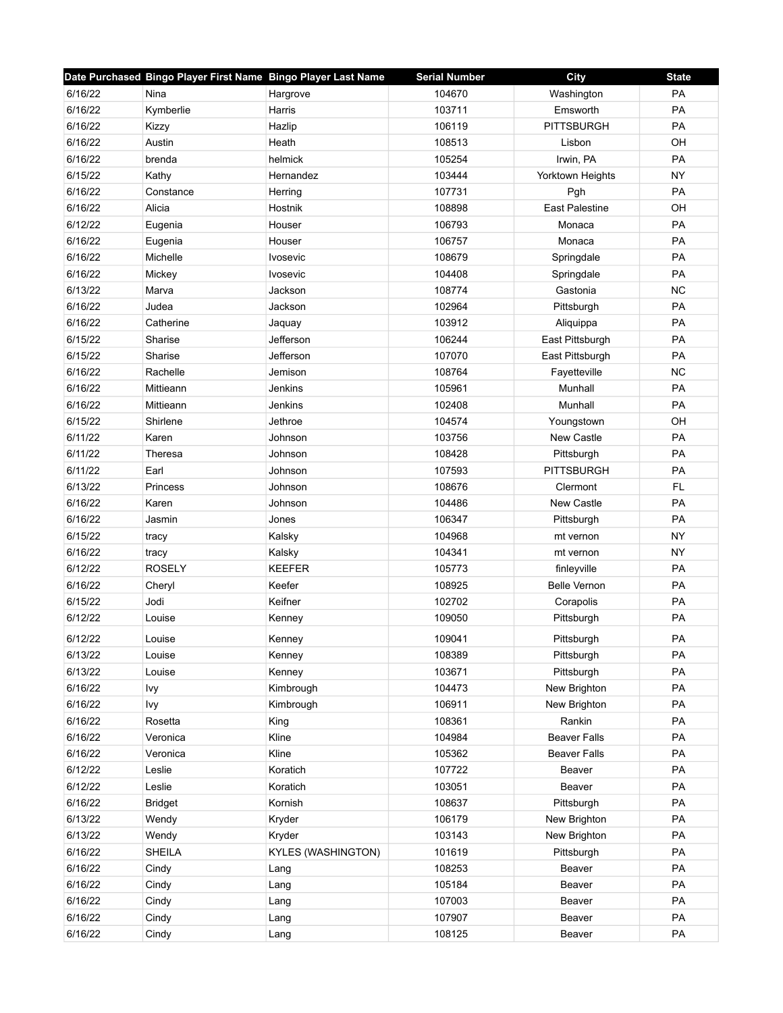|         | Date Purchased Bingo Player First Name Bingo Player Last Name |                    | <b>Serial Number</b> | City                  | <b>State</b> |
|---------|---------------------------------------------------------------|--------------------|----------------------|-----------------------|--------------|
| 6/16/22 | Nina                                                          | Hargrove           | 104670               | Washington            | PA           |
| 6/16/22 | Kymberlie                                                     | Harris             | 103711               | Emsworth              | PA           |
| 6/16/22 | Kizzy                                                         | Hazlip             | 106119               | <b>PITTSBURGH</b>     | PA           |
| 6/16/22 | Austin                                                        | Heath              | 108513               | Lisbon                | OH           |
| 6/16/22 | brenda                                                        | helmick            | 105254               | Irwin, PA             | PA           |
| 6/15/22 | Kathy                                                         | Hernandez          | 103444               | Yorktown Heights      | <b>NY</b>    |
| 6/16/22 | Constance                                                     | Herring            | 107731               | Pgh                   | PA           |
| 6/16/22 | Alicia                                                        | Hostnik            | 108898               | <b>East Palestine</b> | OH           |
| 6/12/22 | Eugenia                                                       | Houser             | 106793               | Monaca                | PA           |
| 6/16/22 | Eugenia                                                       | Houser             | 106757               | Monaca                | PA           |
| 6/16/22 | Michelle                                                      | <b>Ivosevic</b>    | 108679               | Springdale            | PA           |
| 6/16/22 | Mickey                                                        | <b>Ivosevic</b>    | 104408               | Springdale            | PA           |
| 6/13/22 | Marva                                                         | Jackson            | 108774               | Gastonia              | <b>NC</b>    |
| 6/16/22 | Judea                                                         | Jackson            | 102964               | Pittsburgh            | PA           |
| 6/16/22 | Catherine                                                     | Jaquay             | 103912               | Aliquippa             | PA           |
| 6/15/22 | Sharise                                                       | Jefferson          | 106244               | East Pittsburgh       | PA           |
| 6/15/22 | Sharise                                                       | Jefferson          | 107070               | East Pittsburgh       | PA           |
| 6/16/22 | Rachelle                                                      | Jemison            | 108764               | Fayetteville          | NC           |
| 6/16/22 | Mittieann                                                     | Jenkins            | 105961               | Munhall               | <b>PA</b>    |
| 6/16/22 | Mittieann                                                     | Jenkins            | 102408               | Munhall               | PA           |
| 6/15/22 | Shirlene                                                      | Jethroe            | 104574               | Youngstown            | OH           |
| 6/11/22 | Karen                                                         | Johnson            | 103756               | <b>New Castle</b>     | PA           |
| 6/11/22 | Theresa                                                       | Johnson            | 108428               | Pittsburgh            | PA           |
| 6/11/22 | Earl                                                          | Johnson            | 107593               | <b>PITTSBURGH</b>     | PA           |
| 6/13/22 | Princess                                                      | Johnson            | 108676               | Clermont              | <b>FL</b>    |
| 6/16/22 | Karen                                                         | Johnson            | 104486               | <b>New Castle</b>     | PA           |
| 6/16/22 | Jasmin                                                        | Jones              | 106347               | Pittsburgh            | PA           |
| 6/15/22 | tracy                                                         | Kalsky             | 104968               | mt vernon             | <b>NY</b>    |
| 6/16/22 | tracy                                                         | Kalsky             | 104341               | mt vernon             | <b>NY</b>    |
| 6/12/22 | <b>ROSELY</b>                                                 | <b>KEEFER</b>      | 105773               | finleyville           | PA           |
| 6/16/22 | Cheryl                                                        | Keefer             | 108925               | <b>Belle Vernon</b>   | PA           |
| 6/15/22 | Jodi                                                          | Keifner            | 102702               | Corapolis             | PA           |
| 6/12/22 | Louise                                                        | Kenney             | 109050               | Pittsburgh            | PA           |
| 6/12/22 | Louise                                                        | Kenney             | 109041               | Pittsburgh            | PA           |
| 6/13/22 | Louise                                                        | Kenney             | 108389               | Pittsburgh            | PA           |
| 6/13/22 | Louise                                                        | Kenney             | 103671               | Pittsburgh            | PA           |
| 6/16/22 | Ivy                                                           | Kimbrough          | 104473               | New Brighton          | PA           |
| 6/16/22 | Ivy                                                           | Kimbrough          | 106911               | New Brighton          | PA           |
| 6/16/22 | Rosetta                                                       | King               | 108361               | Rankin                | PA           |
| 6/16/22 | Veronica                                                      | Kline              | 104984               | <b>Beaver Falls</b>   | PA           |
| 6/16/22 | Veronica                                                      | Kline              | 105362               | <b>Beaver Falls</b>   | PA           |
| 6/12/22 | Leslie                                                        | Koratich           | 107722               | Beaver                | PA           |
| 6/12/22 | Leslie                                                        | Koratich           | 103051               | Beaver                | PA           |
| 6/16/22 | <b>Bridget</b>                                                | Kornish            | 108637               | Pittsburgh            | PA           |
| 6/13/22 | Wendy                                                         | Kryder             | 106179               | New Brighton          | PA           |
| 6/13/22 | Wendy                                                         | Kryder             | 103143               | New Brighton          | PA           |
| 6/16/22 | <b>SHEILA</b>                                                 | KYLES (WASHINGTON) | 101619               | Pittsburgh            | PA           |
| 6/16/22 | Cindy                                                         | Lang               | 108253               | Beaver                | PA           |
| 6/16/22 | Cindy                                                         | Lang               | 105184               | Beaver                | PA           |
| 6/16/22 | Cindy                                                         |                    | 107003               | Beaver                | PA           |
| 6/16/22 | Cindy                                                         | Lang<br>Lang       | 107907               | Beaver                | PA           |
| 6/16/22 | Cindy                                                         |                    | 108125               | Beaver                | PA           |
|         |                                                               | Lang               |                      |                       |              |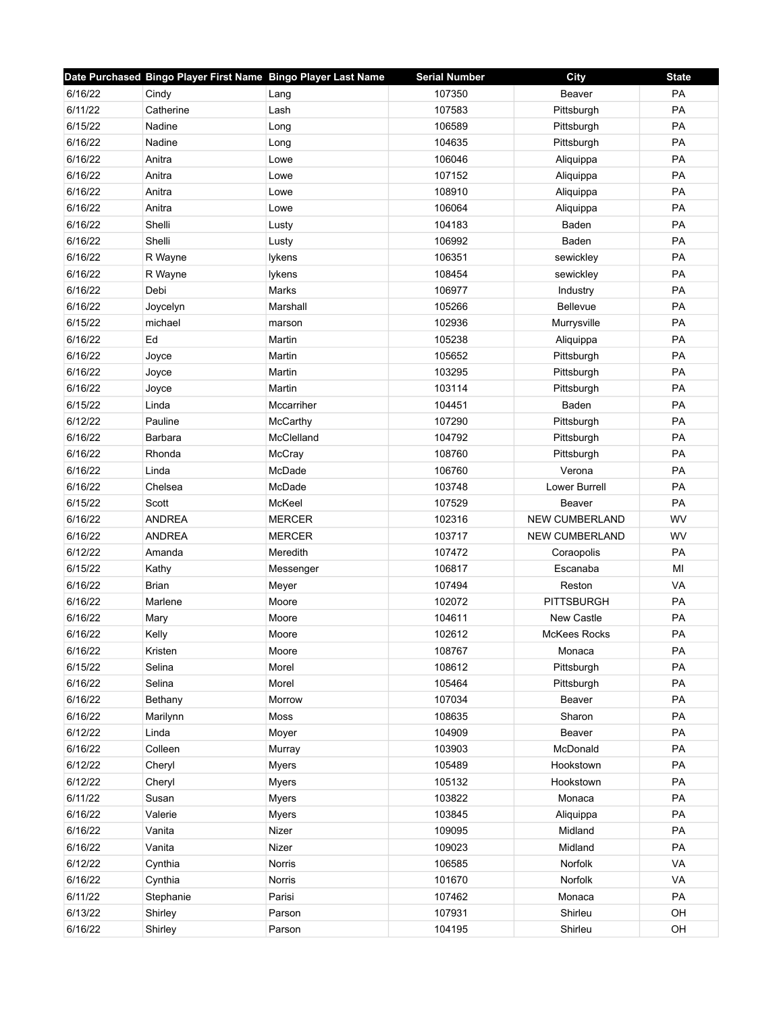|         | Date Purchased Bingo Player First Name Bingo Player Last Name |               | <b>Serial Number</b> | <b>City</b>           | <b>State</b> |
|---------|---------------------------------------------------------------|---------------|----------------------|-----------------------|--------------|
| 6/16/22 | Cindy                                                         | Lang          | 107350               | Beaver                | PA           |
| 6/11/22 | Catherine                                                     | Lash          | 107583               | Pittsburgh            | PA           |
| 6/15/22 | Nadine                                                        | Long          | 106589               | Pittsburgh            | PA           |
| 6/16/22 | Nadine                                                        | Long          | 104635               | Pittsburgh            | PA           |
| 6/16/22 | Anitra                                                        | Lowe          | 106046               | Aliquippa             | PA           |
| 6/16/22 | Anitra                                                        | Lowe          | 107152               | Aliquippa             | PA           |
| 6/16/22 | Anitra                                                        | Lowe          | 108910               | Aliquippa             | PA           |
| 6/16/22 | Anitra                                                        | Lowe          | 106064               | Aliquippa             | PA           |
| 6/16/22 | Shelli                                                        | Lusty         | 104183               | Baden                 | PA           |
| 6/16/22 | Shelli                                                        | Lusty         | 106992               | Baden                 | PA           |
| 6/16/22 | R Wayne                                                       | lykens        | 106351               | sewickley             | PA           |
| 6/16/22 | R Wayne                                                       | lykens        | 108454               | sewickley             | PA           |
| 6/16/22 | Debi                                                          | Marks         | 106977               | Industry              | PA           |
| 6/16/22 | Joycelyn                                                      | Marshall      | 105266               | Bellevue              | PA           |
| 6/15/22 | michael                                                       | marson        | 102936               | Murrysville           | PA           |
| 6/16/22 | Ed                                                            | Martin        | 105238               | Aliquippa             | PA           |
| 6/16/22 | Joyce                                                         | Martin        | 105652               | Pittsburgh            | PA           |
| 6/16/22 | Joyce                                                         | Martin        | 103295               | Pittsburgh            | PA           |
| 6/16/22 | Joyce                                                         | Martin        | 103114               | Pittsburgh            | PA           |
| 6/15/22 | Linda                                                         | Mccarriher    | 104451               | Baden                 | PA           |
| 6/12/22 | Pauline                                                       | McCarthy      | 107290               | Pittsburgh            | PA           |
| 6/16/22 | Barbara                                                       | McClelland    | 104792               | Pittsburgh            | PA           |
| 6/16/22 | Rhonda                                                        | McCray        | 108760               | Pittsburgh            | PA           |
| 6/16/22 | Linda                                                         | McDade        | 106760               | Verona                | PA           |
| 6/16/22 | Chelsea                                                       | McDade        | 103748               | Lower Burrell         | PA           |
| 6/15/22 | Scott                                                         | McKeel        | 107529               | Beaver                | PA           |
| 6/16/22 | <b>ANDREA</b>                                                 | <b>MERCER</b> | 102316               | <b>NEW CUMBERLAND</b> | WV           |
| 6/16/22 | <b>ANDREA</b>                                                 | <b>MERCER</b> | 103717               | <b>NEW CUMBERLAND</b> | WV           |
| 6/12/22 | Amanda                                                        | Meredith      | 107472               | Coraopolis            | PA           |
| 6/15/22 | Kathy                                                         | Messenger     | 106817               | Escanaba              | MI           |
| 6/16/22 | <b>Brian</b>                                                  | Meyer         | 107494               | Reston                | VA           |
| 6/16/22 | Marlene                                                       | Moore         | 102072               | <b>PITTSBURGH</b>     | PA           |
| 6/16/22 | Mary                                                          | Moore         | 104611               | New Castle            | PA           |
| 6/16/22 | Kelly                                                         | Moore         | 102612               | <b>McKees Rocks</b>   | PA           |
| 6/16/22 | Kristen                                                       | Moore         | 108767               | Monaca                | PA           |
| 6/15/22 | Selina                                                        | Morel         | 108612               | Pittsburgh            | PA           |
| 6/16/22 | Selina                                                        | Morel         | 105464               | Pittsburgh            | PA           |
| 6/16/22 | Bethany                                                       | Morrow        | 107034               | Beaver                | PA           |
| 6/16/22 | Marilynn                                                      | Moss          | 108635               | Sharon                | PA           |
| 6/12/22 | Linda                                                         | Moyer         | 104909               | Beaver                | PA           |
| 6/16/22 | Colleen                                                       | Murray        | 103903               | McDonald              | PA           |
| 6/12/22 | Cheryl                                                        | <b>Myers</b>  | 105489               | Hookstown             | PA           |
| 6/12/22 | Cheryl                                                        | <b>Myers</b>  | 105132               | Hookstown             | PA           |
| 6/11/22 | Susan                                                         | <b>Myers</b>  | 103822               | Monaca                | PA           |
| 6/16/22 | Valerie                                                       | <b>Myers</b>  | 103845               | Aliquippa             | PA           |
| 6/16/22 | Vanita                                                        | Nizer         | 109095               | Midland               | PA           |
| 6/16/22 | Vanita                                                        | Nizer         | 109023               | Midland               | PA           |
| 6/12/22 | Cynthia                                                       | Norris        | 106585               | Norfolk               | VA           |
| 6/16/22 | Cynthia                                                       | Norris        | 101670               | Norfolk               | VA           |
| 6/11/22 | Stephanie                                                     | Parisi        | 107462               | Monaca                | PA           |
| 6/13/22 | Shirley                                                       | Parson        | 107931               | Shirleu               | OH           |
| 6/16/22 | Shirley                                                       | Parson        | 104195               | Shirleu               | OH           |
|         |                                                               |               |                      |                       |              |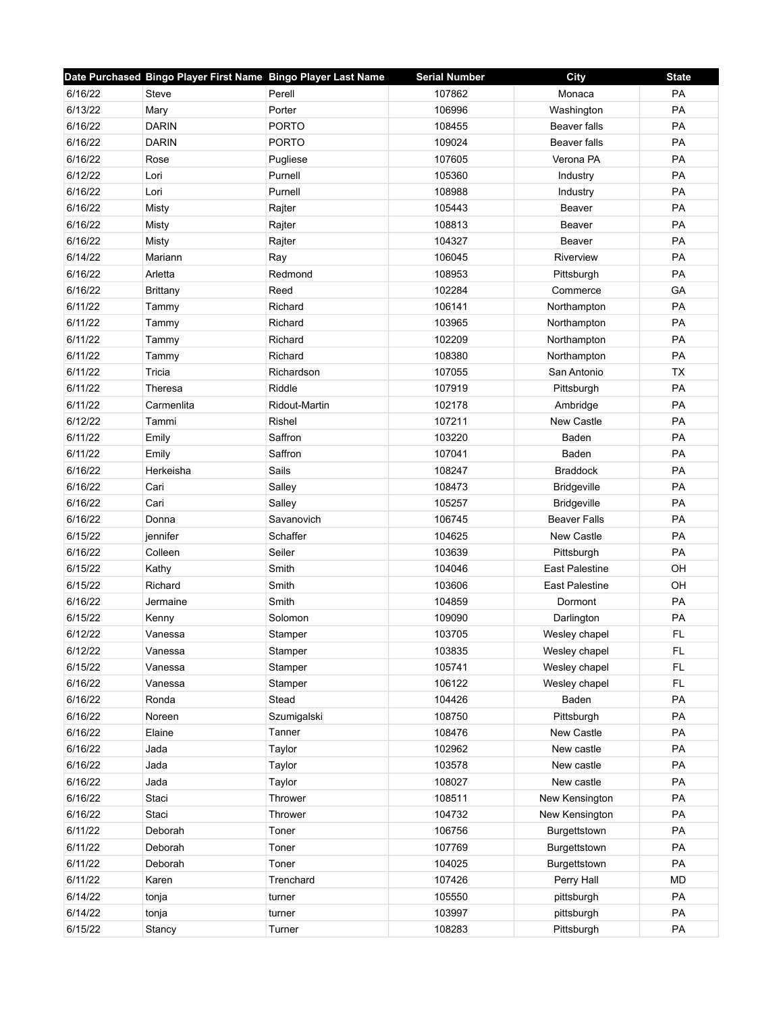|         | Date Purchased Bingo Player First Name Bingo Player Last Name |               | <b>Serial Number</b> | City                  | <b>State</b> |
|---------|---------------------------------------------------------------|---------------|----------------------|-----------------------|--------------|
| 6/16/22 | Steve                                                         | Perell        | 107862               | Monaca                | PA           |
| 6/13/22 | Mary                                                          | Porter        | 106996               | Washington            | PA           |
| 6/16/22 | <b>DARIN</b>                                                  | <b>PORTO</b>  | 108455               | Beaver falls          | PA           |
| 6/16/22 | <b>DARIN</b>                                                  | <b>PORTO</b>  | 109024               | Beaver falls          | PA           |
| 6/16/22 | Rose                                                          | Pugliese      | 107605               | Verona PA             | PA           |
| 6/12/22 | Lori                                                          | Purnell       | 105360               | Industry              | PA           |
| 6/16/22 | Lori                                                          | Purnell       | 108988               | Industry              | PA           |
| 6/16/22 | <b>Misty</b>                                                  | Rajter        | 105443               | Beaver                | PA           |
| 6/16/22 | Misty                                                         | Rajter        | 108813               | Beaver                | PA           |
| 6/16/22 | Misty                                                         | Rajter        | 104327               | Beaver                | PA           |
| 6/14/22 | Mariann                                                       | Ray           | 106045               | Riverview             | PA           |
| 6/16/22 | Arletta                                                       | Redmond       | 108953               | Pittsburgh            | PA           |
| 6/16/22 | <b>Brittany</b>                                               | Reed          | 102284               | Commerce              | GA           |
| 6/11/22 | Tammy                                                         | Richard       | 106141               | Northampton           | PA           |
| 6/11/22 | Tammy                                                         | Richard       | 103965               | Northampton           | PA           |
| 6/11/22 | Tammy                                                         | Richard       | 102209               | Northampton           | PA           |
| 6/11/22 | Tammy                                                         | Richard       | 108380               | Northampton           | PA           |
| 6/11/22 | Tricia                                                        | Richardson    | 107055               | San Antonio           | <b>TX</b>    |
| 6/11/22 | Theresa                                                       | Riddle        | 107919               | Pittsburgh            | PA           |
| 6/11/22 | Carmenlita                                                    | Ridout-Martin | 102178               | Ambridge              | PA           |
| 6/12/22 | Tammi                                                         | Rishel        | 107211               | <b>New Castle</b>     | PA           |
| 6/11/22 | Emily                                                         | Saffron       | 103220               | Baden                 | PA           |
| 6/11/22 | Emily                                                         | Saffron       | 107041               | Baden                 | PA           |
| 6/16/22 | Herkeisha                                                     | Sails         | 108247               | <b>Braddock</b>       | PA           |
| 6/16/22 | Cari                                                          | Salley        | 108473               | Bridgeville           | PA           |
| 6/16/22 | Cari                                                          | Salley        | 105257               | <b>Bridgeville</b>    | PA           |
| 6/16/22 | Donna                                                         | Savanovich    | 106745               | <b>Beaver Falls</b>   | PA           |
| 6/15/22 | jennifer                                                      | Schaffer      | 104625               | <b>New Castle</b>     | PA           |
| 6/16/22 | Colleen                                                       | Seiler        | 103639               | Pittsburgh            | PA           |
| 6/15/22 | Kathy                                                         | Smith         | 104046               | <b>East Palestine</b> | OH           |
| 6/15/22 | Richard                                                       | Smith         | 103606               | <b>East Palestine</b> | OH           |
| 6/16/22 | Jermaine                                                      | Smith         | 104859               | Dormont               | PA           |
| 6/15/22 | Kenny                                                         | Solomon       | 109090               | Darlington            | PA           |
| 6/12/22 | Vanessa                                                       | Stamper       | 103705               | Wesley chapel         | <b>FL</b>    |
| 6/12/22 | Vanessa                                                       | Stamper       | 103835               | Wesley chapel         | <b>FL</b>    |
| 6/15/22 | Vanessa                                                       | Stamper       | 105741               | Wesley chapel         | FL           |
| 6/16/22 | Vanessa                                                       | Stamper       | 106122               | Wesley chapel         | FL           |
| 6/16/22 | Ronda                                                         | Stead         | 104426               | Baden                 | PA           |
| 6/16/22 | Noreen                                                        | Szumigalski   | 108750               | Pittsburgh            | PA           |
| 6/16/22 | Elaine                                                        | Tanner        | 108476               | New Castle            | PA           |
| 6/16/22 | Jada                                                          | Taylor        | 102962               | New castle            | PA           |
| 6/16/22 | Jada                                                          | Taylor        | 103578               | New castle            | PA           |
| 6/16/22 | Jada                                                          | Taylor        | 108027               | New castle            | PA           |
| 6/16/22 | Staci                                                         | Thrower       | 108511               | New Kensington        | PA           |
| 6/16/22 | Staci                                                         | Thrower       | 104732               | New Kensington        | PA           |
| 6/11/22 | Deborah                                                       | Toner         | 106756               | Burgettstown          | PA           |
| 6/11/22 | Deborah                                                       | Toner         | 107769               | Burgettstown          | PA           |
| 6/11/22 | Deborah                                                       | Toner         | 104025               | Burgettstown          | PA           |
| 6/11/22 | Karen                                                         | Trenchard     | 107426               | Perry Hall            | <b>MD</b>    |
| 6/14/22 | tonja                                                         | turner        | 105550               | pittsburgh            | PA           |
| 6/14/22 | tonja                                                         | turner        | 103997               | pittsburgh            | PA           |
| 6/15/22 | Stancy                                                        | Turner        | 108283               | Pittsburgh            | PA           |
|         |                                                               |               |                      |                       |              |